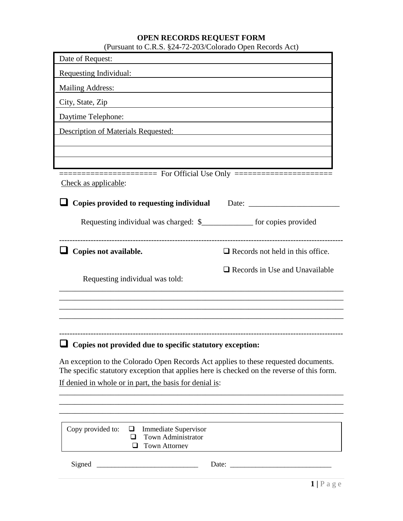# **OPEN RECORDS REQUEST FORM** (Pursuant to C.R.S. §24-72-203/Colorado Open Records Act)

| (Fursuant to C.K.D. $82 + 72200$ /Colorado Open Records Tree)                                                                                                                                                                                            |                                                                                                                                                                                                                               |
|----------------------------------------------------------------------------------------------------------------------------------------------------------------------------------------------------------------------------------------------------------|-------------------------------------------------------------------------------------------------------------------------------------------------------------------------------------------------------------------------------|
| Date of Request:                                                                                                                                                                                                                                         |                                                                                                                                                                                                                               |
| Requesting Individual:                                                                                                                                                                                                                                   |                                                                                                                                                                                                                               |
| <b>Mailing Address:</b><br>the control of the control of the control of the control of the control of the control of the control of the control of the control of the control of the control of the control of the control of the control of the control |                                                                                                                                                                                                                               |
| City, State, Zip                                                                                                                                                                                                                                         |                                                                                                                                                                                                                               |
| Daytime Telephone:<br>the control of the control of the control of the control of the control of the control of                                                                                                                                          |                                                                                                                                                                                                                               |
| <b>Description of Materials Requested:</b>                                                                                                                                                                                                               |                                                                                                                                                                                                                               |
|                                                                                                                                                                                                                                                          |                                                                                                                                                                                                                               |
|                                                                                                                                                                                                                                                          |                                                                                                                                                                                                                               |
|                                                                                                                                                                                                                                                          |                                                                                                                                                                                                                               |
| Check as applicable:                                                                                                                                                                                                                                     |                                                                                                                                                                                                                               |
| Copies provided to requesting individual                                                                                                                                                                                                                 | Date: and the contract of the contract of the contract of the contract of the contract of the contract of the contract of the contract of the contract of the contract of the contract of the contract of the contract of the |
| Requesting individual was charged: \$_______________ for copies provided                                                                                                                                                                                 |                                                                                                                                                                                                                               |
|                                                                                                                                                                                                                                                          |                                                                                                                                                                                                                               |
| Copies not available.                                                                                                                                                                                                                                    | $\Box$ Records not held in this office.                                                                                                                                                                                       |
|                                                                                                                                                                                                                                                          | $\Box$ Records in Use and Unavailable                                                                                                                                                                                         |
| Requesting individual was told:                                                                                                                                                                                                                          |                                                                                                                                                                                                                               |
|                                                                                                                                                                                                                                                          |                                                                                                                                                                                                                               |
|                                                                                                                                                                                                                                                          |                                                                                                                                                                                                                               |
|                                                                                                                                                                                                                                                          |                                                                                                                                                                                                                               |
| $\Box$ Copies not provided due to specific statutory exception:                                                                                                                                                                                          |                                                                                                                                                                                                                               |
| An exception to the Colorado Open Records Act applies to these requested documents.<br>The specific statutory exception that applies here is checked on the reverse of this form.                                                                        |                                                                                                                                                                                                                               |
| If denied in whole or in part, the basis for denial is:                                                                                                                                                                                                  |                                                                                                                                                                                                                               |
|                                                                                                                                                                                                                                                          |                                                                                                                                                                                                                               |
|                                                                                                                                                                                                                                                          |                                                                                                                                                                                                                               |
| Copy provided to:<br><b>Immediate Supervisor</b><br>⊔                                                                                                                                                                                                    |                                                                                                                                                                                                                               |
| Town Administrator<br>ப<br><b>Town Attorney</b><br>□                                                                                                                                                                                                     |                                                                                                                                                                                                                               |
|                                                                                                                                                                                                                                                          |                                                                                                                                                                                                                               |
| Signed                                                                                                                                                                                                                                                   | Date:                                                                                                                                                                                                                         |